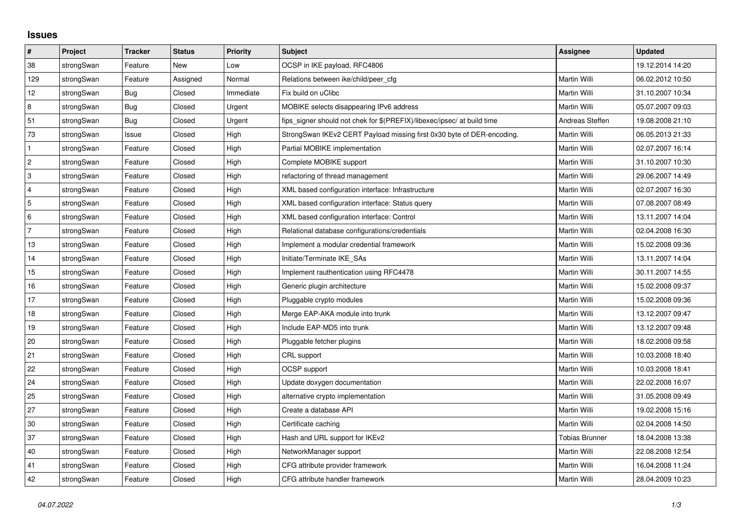## **Issues**

| $\vert$ #      | Project    | <b>Tracker</b> | <b>Status</b> | <b>Priority</b> | <b>Subject</b>                                                          | <b>Assignee</b>       | <b>Updated</b>   |
|----------------|------------|----------------|---------------|-----------------|-------------------------------------------------------------------------|-----------------------|------------------|
| 38             | strongSwan | Feature        | New           | Low             | OCSP in IKE payload, RFC4806                                            |                       | 19.12.2014 14:20 |
| 129            | strongSwan | Feature        | Assigned      | Normal          | Relations between ike/child/peer cfg                                    | Martin Willi          | 06.02.2012 10:50 |
| 12             | strongSwan | Bug            | Closed        | Immediate       | Fix build on uClibc                                                     | Martin Willi          | 31.10.2007 10:34 |
| 8              | strongSwan | Bug            | Closed        | Urgent          | MOBIKE selects disappearing IPv6 address                                | Martin Willi          | 05.07.2007 09:03 |
| 51             | strongSwan | Bug            | Closed        | Urgent          | fips signer should not chek for \$(PREFIX)/libexec/ipsec/ at build time | Andreas Steffen       | 19.08.2008 21:10 |
| 73             | strongSwan | Issue          | Closed        | High            | StrongSwan IKEv2 CERT Payload missing first 0x30 byte of DER-encoding.  | Martin Willi          | 06.05.2013 21:33 |
| $\mathbf{1}$   | strongSwan | Feature        | Closed        | High            | Partial MOBIKE implementation                                           | Martin Willi          | 02.07.2007 16:14 |
| $\overline{c}$ | strongSwan | Feature        | Closed        | High            | Complete MOBIKE support                                                 | Martin Willi          | 31.10.2007 10:30 |
| 3              | strongSwan | Feature        | Closed        | High            | refactoring of thread management                                        | Martin Willi          | 29.06.2007 14:49 |
| $\overline{4}$ | strongSwan | Feature        | Closed        | High            | XML based configuration interface: Infrastructure                       | Martin Willi          | 02.07.2007 16:30 |
| 5              | strongSwan | Feature        | Closed        | High            | XML based configuration interface: Status query                         | Martin Willi          | 07.08.2007 08:49 |
| 6              | strongSwan | Feature        | Closed        | High            | XML based configuration interface: Control                              | Martin Willi          | 13.11.2007 14:04 |
| $\overline{7}$ | strongSwan | Feature        | Closed        | High            | Relational database configurations/credentials                          | Martin Willi          | 02.04.2008 16:30 |
| 13             | strongSwan | Feature        | Closed        | High            | Implement a modular credential framework                                | Martin Willi          | 15.02.2008 09:36 |
| 14             | strongSwan | Feature        | Closed        | High            | Initiate/Terminate IKE SAs                                              | Martin Willi          | 13.11.2007 14:04 |
| 15             | strongSwan | Feature        | Closed        | High            | Implement rauthentication using RFC4478                                 | Martin Willi          | 30.11.2007 14:55 |
| 16             | strongSwan | Feature        | Closed        | High            | Generic plugin architecture                                             | Martin Willi          | 15.02.2008 09:37 |
| 17             | strongSwan | Feature        | Closed        | High            | Pluggable crypto modules                                                | Martin Willi          | 15.02.2008 09:36 |
| 18             | strongSwan | Feature        | Closed        | High            | Merge EAP-AKA module into trunk                                         | Martin Willi          | 13.12.2007 09:47 |
| 19             | strongSwan | Feature        | Closed        | High            | Include EAP-MD5 into trunk                                              | Martin Willi          | 13.12.2007 09:48 |
| 20             | strongSwan | Feature        | Closed        | High            | Pluggable fetcher plugins                                               | Martin Willi          | 18.02.2008 09:58 |
| 21             | strongSwan | Feature        | Closed        | High            | CRL support                                                             | Martin Willi          | 10.03.2008 18:40 |
| 22             | strongSwan | Feature        | Closed        | High            | OCSP support                                                            | Martin Willi          | 10.03.2008 18:41 |
| 24             | strongSwan | Feature        | Closed        | High            | Update doxygen documentation                                            | Martin Willi          | 22.02.2008 16:07 |
| 25             | strongSwan | Feature        | Closed        | High            | alternative crypto implementation                                       | Martin Willi          | 31.05.2008 09:49 |
| 27             | strongSwan | Feature        | Closed        | High            | Create a database API                                                   | Martin Willi          | 19.02.2008 15:16 |
| $30\,$         | strongSwan | Feature        | Closed        | High            | Certificate caching                                                     | Martin Willi          | 02.04.2008 14:50 |
| 37             | strongSwan | Feature        | Closed        | High            | Hash and URL support for IKEv2                                          | <b>Tobias Brunner</b> | 18.04.2008 13:38 |
| 40             | strongSwan | Feature        | Closed        | High            | NetworkManager support                                                  | Martin Willi          | 22.08.2008 12:54 |
| 41             | strongSwan | Feature        | Closed        | High            | CFG attribute provider framework                                        | Martin Willi          | 16.04.2008 11:24 |
| 42             | strongSwan | Feature        | Closed        | High            | CFG attribute handler framework                                         | Martin Willi          | 28.04.2009 10:23 |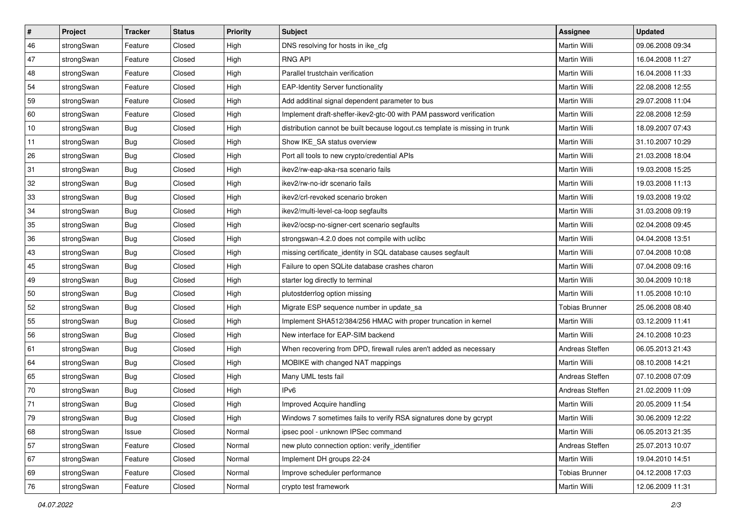| $\vert$ # | Project    | <b>Tracker</b> | <b>Status</b> | <b>Priority</b> | <b>Subject</b>                                                              | Assignee              | <b>Updated</b>   |
|-----------|------------|----------------|---------------|-----------------|-----------------------------------------------------------------------------|-----------------------|------------------|
| 46        | strongSwan | Feature        | Closed        | High            | DNS resolving for hosts in ike_cfg                                          | Martin Willi          | 09.06.2008 09:34 |
| 47        | strongSwan | Feature        | Closed        | High            | <b>RNG API</b>                                                              | <b>Martin Willi</b>   | 16.04.2008 11:27 |
| 48        | strongSwan | Feature        | Closed        | High            | Parallel trustchain verification                                            | Martin Willi          | 16.04.2008 11:33 |
| 54        | strongSwan | Feature        | Closed        | High            | <b>EAP-Identity Server functionality</b>                                    | Martin Willi          | 22.08.2008 12:55 |
| 59        | strongSwan | Feature        | Closed        | High            | Add additinal signal dependent parameter to bus                             | Martin Willi          | 29.07.2008 11:04 |
| 60        | strongSwan | Feature        | Closed        | High            | Implement draft-sheffer-ikev2-gtc-00 with PAM password verification         | Martin Willi          | 22.08.2008 12:59 |
| 10        | strongSwan | Bug            | Closed        | High            | distribution cannot be built because logout.cs template is missing in trunk | Martin Willi          | 18.09.2007 07:43 |
| 11        | strongSwan | Bug            | Closed        | High            | Show IKE_SA status overview                                                 | Martin Willi          | 31.10.2007 10:29 |
| 26        | strongSwan | <b>Bug</b>     | Closed        | High            | Port all tools to new crypto/credential APIs                                | Martin Willi          | 21.03.2008 18:04 |
| 31        | strongSwan | Bug            | Closed        | High            | ikev2/rw-eap-aka-rsa scenario fails                                         | Martin Willi          | 19.03.2008 15:25 |
| 32        | strongSwan | Bug            | Closed        | High            | ikev2/rw-no-idr scenario fails                                              | Martin Willi          | 19.03.2008 11:13 |
| 33        | strongSwan | <b>Bug</b>     | Closed        | High            | ikev2/crl-revoked scenario broken                                           | Martin Willi          | 19.03.2008 19:02 |
| 34        | strongSwan | Bug            | Closed        | High            | ikev2/multi-level-ca-loop segfaults                                         | <b>Martin Willi</b>   | 31.03.2008 09:19 |
| 35        | strongSwan | Bug            | Closed        | High            | ikev2/ocsp-no-signer-cert scenario segfaults                                | Martin Willi          | 02.04.2008 09:45 |
| 36        | strongSwan | Bug            | Closed        | High            | strongswan-4.2.0 does not compile with uclibc                               | <b>Martin Willi</b>   | 04.04.2008 13:51 |
| 43        | strongSwan | <b>Bug</b>     | Closed        | High            | missing certificate_identity in SQL database causes segfault                | Martin Willi          | 07.04.2008 10:08 |
| 45        | strongSwan | <b>Bug</b>     | Closed        | High            | Failure to open SQLite database crashes charon                              | <b>Martin Willi</b>   | 07.04.2008 09:16 |
| 49        | strongSwan | Bug            | Closed        | High            | starter log directly to terminal                                            | <b>Martin Willi</b>   | 30.04.2009 10:18 |
| 50        | strongSwan | <b>Bug</b>     | Closed        | High            | plutostderrlog option missing                                               | Martin Willi          | 11.05.2008 10:10 |
| 52        | strongSwan | Bug            | Closed        | High            | Migrate ESP sequence number in update_sa                                    | <b>Tobias Brunner</b> | 25.06.2008 08:40 |
| 55        | strongSwan | <b>Bug</b>     | Closed        | High            | Implement SHA512/384/256 HMAC with proper truncation in kernel              | Martin Willi          | 03.12.2009 11:41 |
| 56        | strongSwan | <b>Bug</b>     | Closed        | High            | New interface for EAP-SIM backend                                           | Martin Willi          | 24.10.2008 10:23 |
| 61        | strongSwan | Bug            | Closed        | High            | When recovering from DPD, firewall rules aren't added as necessary          | Andreas Steffen       | 06.05.2013 21:43 |
| 64        | strongSwan | <b>Bug</b>     | Closed        | High            | MOBIKE with changed NAT mappings                                            | Martin Willi          | 08.10.2008 14:21 |
| 65        | strongSwan | <b>Bug</b>     | Closed        | High            | Many UML tests fail                                                         | Andreas Steffen       | 07.10.2008 07:09 |
| 70        | strongSwan | <b>Bug</b>     | Closed        | High            | IP <sub>v6</sub>                                                            | Andreas Steffen       | 21.02.2009 11:09 |
| 71        | strongSwan | Bug            | Closed        | High            | Improved Acquire handling                                                   | Martin Willi          | 20.05.2009 11:54 |
| 79        | strongSwan | Bug            | Closed        | High            | Windows 7 sometimes fails to verify RSA signatures done by gcrypt           | Martin Willi          | 30.06.2009 12:22 |
| 68        | strongSwan | Issue          | Closed        | Normal          | ipsec pool - unknown IPSec command                                          | Martin Willi          | 06.05.2013 21:35 |
| 57        | strongSwan | Feature        | Closed        | Normal          | new pluto connection option: verify_identifier                              | Andreas Steffen       | 25.07.2013 10:07 |
| 67        | strongSwan | Feature        | Closed        | Normal          | Implement DH groups 22-24                                                   | Martin Willi          | 19.04.2010 14:51 |
| 69        | strongSwan | Feature        | Closed        | Normal          | Improve scheduler performance                                               | <b>Tobias Brunner</b> | 04.12.2008 17:03 |
| 76        | strongSwan | Feature        | Closed        | Normal          | crypto test framework                                                       | Martin Willi          | 12.06.2009 11:31 |